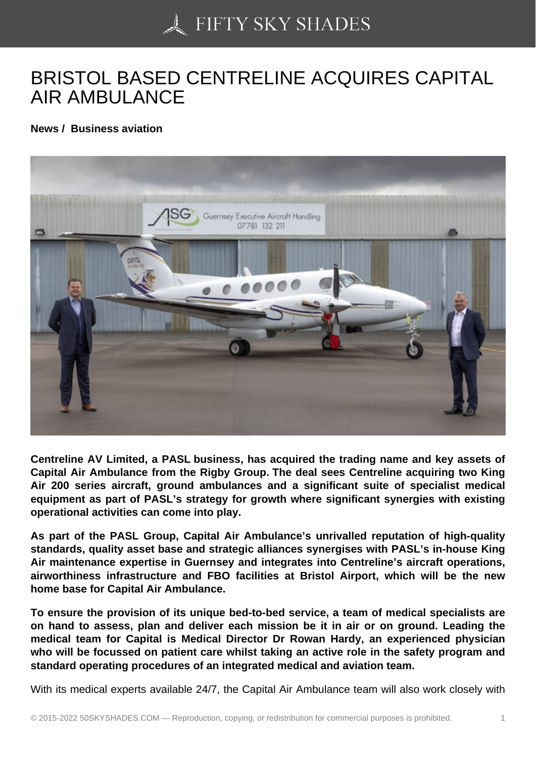## [BRISTOL BASED CEN](https://50skyshades.com)TRELINE ACQUIRES CAPITAL AIR AMBULANCE

News / Business aviation

Centreline AV Limited, a PASL business, has acquired the trading name and key assets of Capital Air Ambulance from the Rigby Group. The deal sees Centreline acquiring two King Air 200 series aircraft, ground ambulances and a significant suite of specialist medical equipment as part of PASL's strategy for growth where significant synergies with existing operational activities can come into play.

As part of the PASL Group, Capital Air Ambulance's unrivalled reputation of high-quality standards, quality asset base and strategic alliances synergises with PASL's in-house King Air maintenance expertise in Guernsey and integrates into Centreline's aircraft operations, airworthiness infrastructure and FBO facilities at Bristol Airport, which will be the new home base for Capital Air Ambulance.

To ensure the provision of its unique bed-to-bed service, a team of medical specialists are on hand to assess, plan and deliver each mission be it in air or on ground. Leading the medical team for Capital is Medical Director Dr Rowan Hardy, an experienced physician who will be focussed on patient care whilst taking an active role in the safety program and standard operating procedures of an integrated medical and aviation team.

With its medical experts available 24/7, the Capital Air Ambulance team will also work closely with